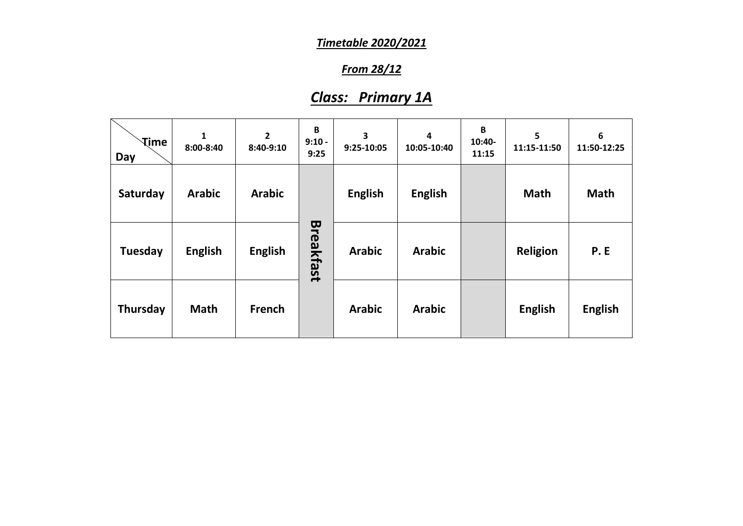### *From 28/12*

# *Class: Primary 1A*

| <b>Time</b><br>Day | 1<br>$8:00 - 8:40$ | $\mathbf{2}$<br>8:40-9:10 | B<br>$9:10 -$<br>9:25 | 3<br>9:25-10:05 | 4<br>10:05-10:40 | $\mathbf B$<br>10:40-<br>11:15 | 5<br>11:15-11:50 | $\boldsymbol{6}$<br>11:50-12:25 |
|--------------------|--------------------|---------------------------|-----------------------|-----------------|------------------|--------------------------------|------------------|---------------------------------|
| Saturday           | <b>Arabic</b>      | <b>Arabic</b>             |                       | <b>English</b>  | <b>English</b>   |                                | <b>Math</b>      | <b>Math</b>                     |
| Tuesday            | <b>English</b>     | <b>English</b>            | <b>Breakfast</b>      | <b>Arabic</b>   | <b>Arabic</b>    |                                | <b>Religion</b>  | P.E                             |
| Thursday           | <b>Math</b>        | French                    |                       | <b>Arabic</b>   | <b>Arabic</b>    |                                | <b>English</b>   | <b>English</b>                  |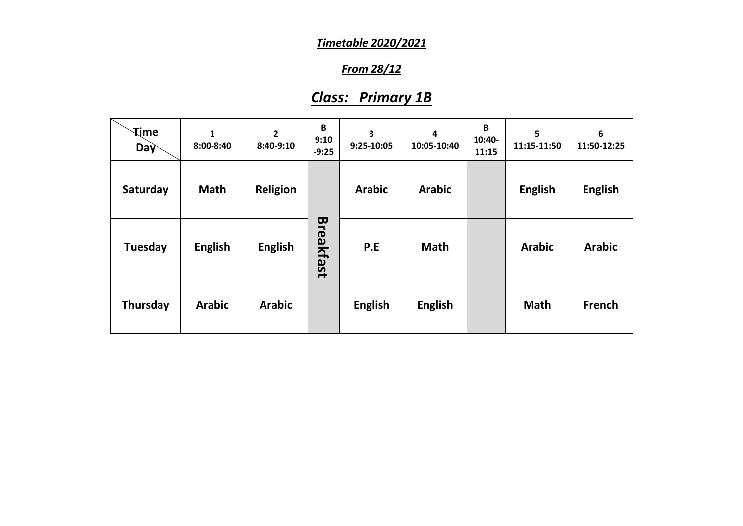### *From 28/12*

## *Class: Primary 1B*

| <b>Time</b><br>Day | $\mathbf{1}$<br>8:00-8:40 | $\overline{2}$<br>8:40-9:10 | B<br>9:10<br>$-9:25$ | 3<br>9:25-10:05 | $\overline{\mathbf{4}}$<br>10:05-10:40 | B<br>10:40-<br>11:15 | 5<br>11:15-11:50 | 6<br>11:50-12:25 |
|--------------------|---------------------------|-----------------------------|----------------------|-----------------|----------------------------------------|----------------------|------------------|------------------|
| Saturday           | <b>Math</b>               | <b>Religion</b>             |                      | <b>Arabic</b>   | <b>Arabic</b>                          |                      | <b>English</b>   | <b>English</b>   |
| <b>Tuesday</b>     | <b>English</b>            | <b>English</b>              | <b>Breakfast</b>     | P.E             | <b>Math</b>                            |                      | <b>Arabic</b>    | <b>Arabic</b>    |
| Thursday           | <b>Arabic</b>             | <b>Arabic</b>               |                      | <b>English</b>  | <b>English</b>                         |                      | <b>Math</b>      | <b>French</b>    |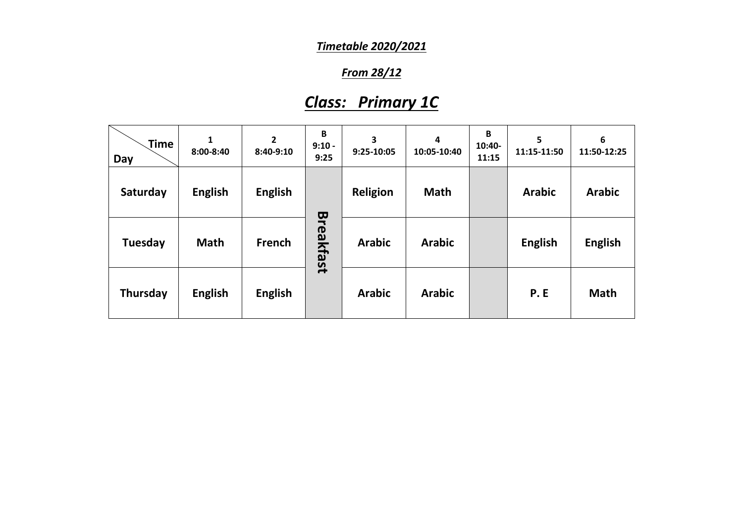### *From 28/12*

# *Class: Primary 1C*

| Time<br>Day | 1<br>8:00-8:40 | 2<br>$8:40-9:10$ | B<br>$9:10 -$<br>9:25 | 3<br>9:25-10:05 | 4<br>10:05-10:40 | B<br>10:40-<br>11:15 | 5<br>11:15-11:50 | 6<br>11:50-12:25 |
|-------------|----------------|------------------|-----------------------|-----------------|------------------|----------------------|------------------|------------------|
| Saturday    | <b>English</b> | <b>English</b>   |                       | <b>Religion</b> | <b>Math</b>      |                      | <b>Arabic</b>    | <b>Arabic</b>    |
| Tuesday     | <b>Math</b>    | French           | <b>Breakfast</b>      | <b>Arabic</b>   | <b>Arabic</b>    |                      | <b>English</b>   | <b>English</b>   |
| Thursday    | <b>English</b> | <b>English</b>   |                       | <b>Arabic</b>   | <b>Arabic</b>    |                      | <b>P.E</b>       | <b>Math</b>      |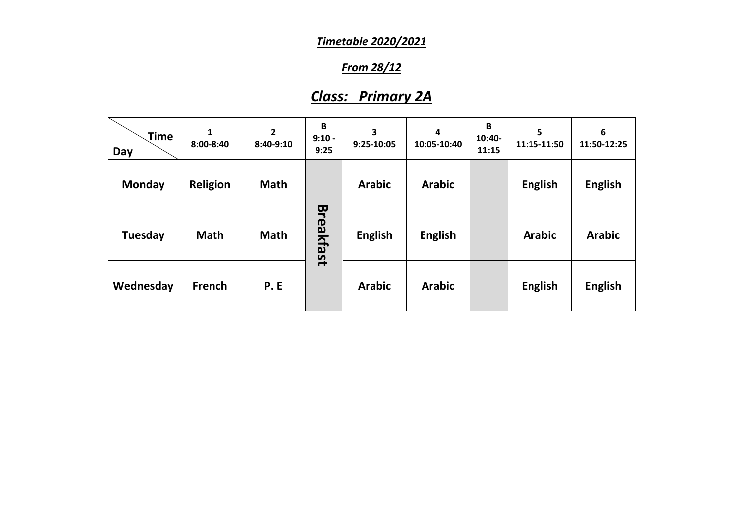### *From 28/12*

# *Class: Primary 2A*

| Time<br>Day    | 1<br>8:00-8:40  | $\overline{\mathbf{2}}$<br>$8:40-9:10$ | B<br>$9:10 -$<br>9:25 | 3<br>9:25-10:05 | 4<br>10:05-10:40 | B<br>10:40-<br>11:15 | 5<br>11:15-11:50 | 6<br>11:50-12:25 |
|----------------|-----------------|----------------------------------------|-----------------------|-----------------|------------------|----------------------|------------------|------------------|
| <b>Monday</b>  | <b>Religion</b> | <b>Math</b>                            |                       | <b>Arabic</b>   | <b>Arabic</b>    |                      | <b>English</b>   | <b>English</b>   |
| <b>Tuesday</b> | <b>Math</b>     | <b>Math</b>                            | Breakfast             | <b>English</b>  | <b>English</b>   |                      | <b>Arabic</b>    | <b>Arabic</b>    |
| Wednesday      | <b>French</b>   | <b>P.E</b>                             |                       | <b>Arabic</b>   | <b>Arabic</b>    |                      | <b>English</b>   | <b>English</b>   |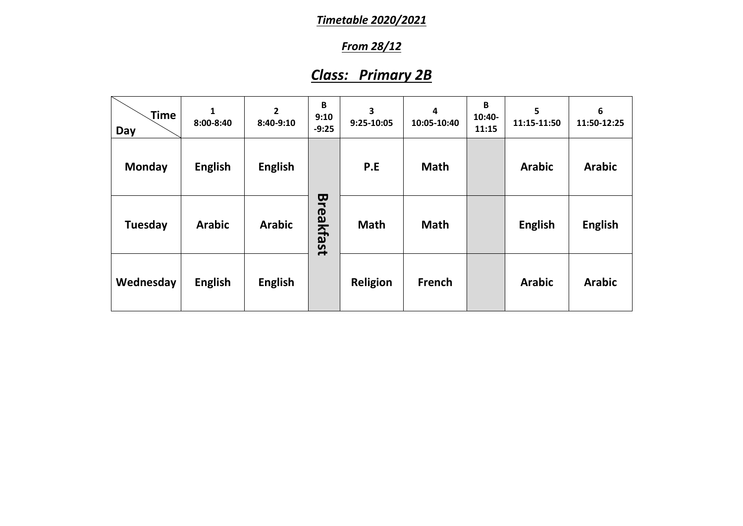## *From 28/12*

# *Class: Primary 2B*

| Time<br>Day   | 1<br>8:00-8:40 | $\overline{2}$<br>8:40-9:10 | B<br>9:10<br>$-9:25$ | 3<br>9:25-10:05 | 4<br>10:05-10:40 | B<br>10:40-<br>11:15 | 5<br>11:15-11:50 | 6<br>11:50-12:25 |
|---------------|----------------|-----------------------------|----------------------|-----------------|------------------|----------------------|------------------|------------------|
| <b>Monday</b> | <b>English</b> | <b>English</b>              |                      | P.E             | <b>Math</b>      |                      | <b>Arabic</b>    | <b>Arabic</b>    |
| Tuesday       | <b>Arabic</b>  | <b>Arabic</b>               | Breakfast            | <b>Math</b>     | <b>Math</b>      |                      | <b>English</b>   | <b>English</b>   |
| Wednesday     | <b>English</b> | <b>English</b>              |                      | <b>Religion</b> | French           |                      | <b>Arabic</b>    | <b>Arabic</b>    |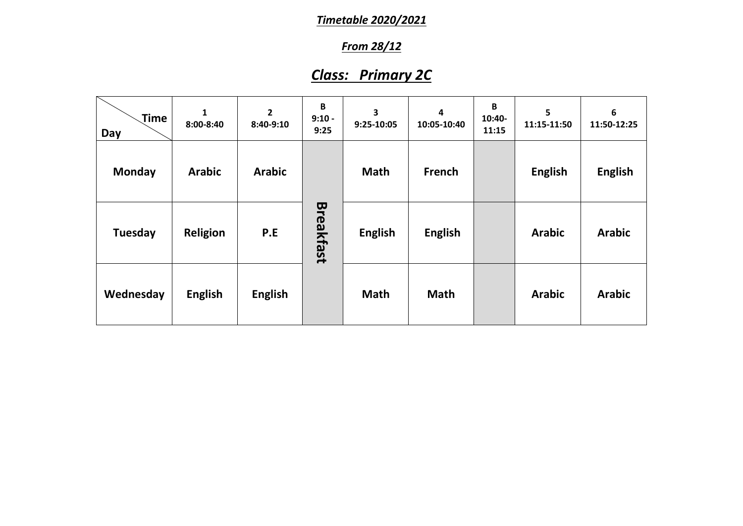## *From 28/12*

# *Class: Primary 2C*

| Time<br>Day | $\mathbf{1}$<br>8:00-8:40 | $\mathbf{2}$<br>8:40-9:10 | $\mathbf B$<br>$9:10 -$<br>9:25 | 3<br>9:25-10:05 | 4<br>10:05-10:40 | B<br>10:40-<br>11:15 | 5<br>11:15-11:50 | 6<br>11:50-12:25 |
|-------------|---------------------------|---------------------------|---------------------------------|-----------------|------------------|----------------------|------------------|------------------|
| Monday      | <b>Arabic</b>             | <b>Arabic</b>             |                                 | <b>Math</b>     | French           |                      | <b>English</b>   | <b>English</b>   |
| Tuesday     | <b>Religion</b>           | P.E                       | Breakfast                       | <b>English</b>  | <b>English</b>   |                      | <b>Arabic</b>    | <b>Arabic</b>    |
| Wednesday   | <b>English</b>            | <b>English</b>            |                                 | <b>Math</b>     | <b>Math</b>      |                      | <b>Arabic</b>    | <b>Arabic</b>    |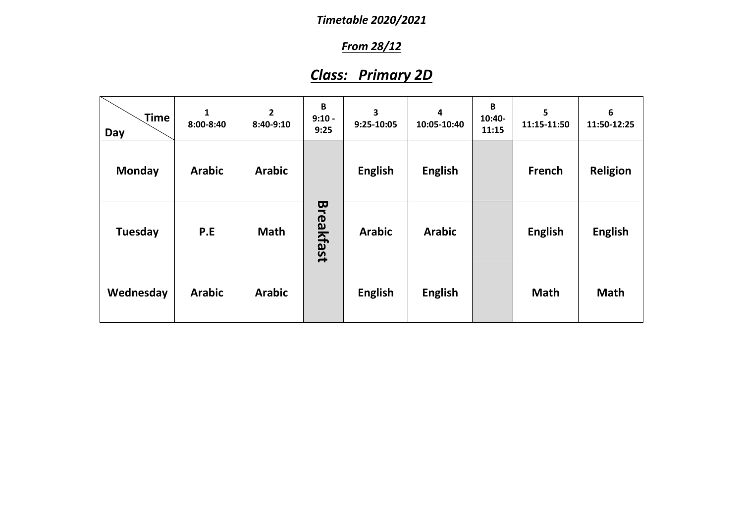## *From 28/12*

# *Class: Primary 2D*

| Time<br>Day   | $\mathbf{1}$<br>8:00-8:40 | $\overline{2}$<br>8:40-9:10 | $\mathbf B$<br>$9:10 -$<br>9:25 | 3<br>9:25-10:05 | 4<br>10:05-10:40 | B<br>10:40-<br>11:15 | 5<br>11:15-11:50 | 6<br>11:50-12:25 |
|---------------|---------------------------|-----------------------------|---------------------------------|-----------------|------------------|----------------------|------------------|------------------|
| <b>Monday</b> | <b>Arabic</b>             | <b>Arabic</b>               |                                 | <b>English</b>  | <b>English</b>   |                      | <b>French</b>    | <b>Religion</b>  |
| Tuesday       | P.E                       | <b>Math</b>                 | <b>Breakfast</b>                | <b>Arabic</b>   | <b>Arabic</b>    |                      | <b>English</b>   | <b>English</b>   |
| Wednesday     | <b>Arabic</b>             | <b>Arabic</b>               |                                 | <b>English</b>  | <b>English</b>   |                      | <b>Math</b>      | <b>Math</b>      |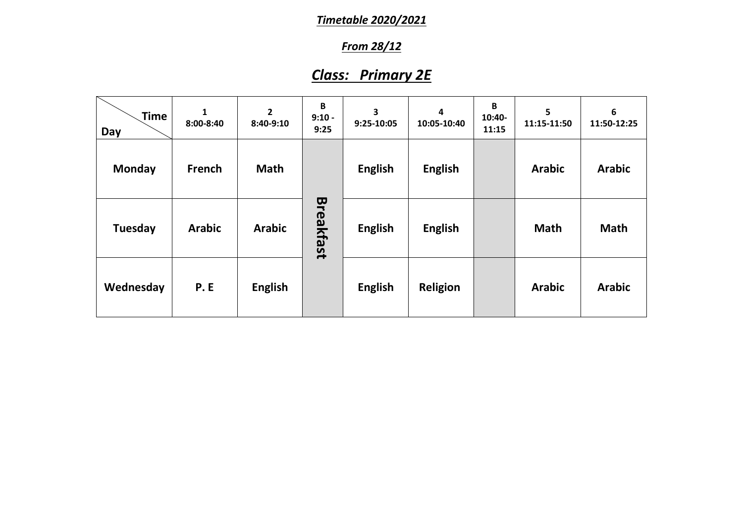## *From 28/12*

# *Class: Primary 2E*

| <b>Time</b><br>Day | 1<br>8:00-8:40 | $\mathbf{2}$<br>8:40-9:10 | B<br>$9:10 -$<br>9:25 | 3<br>9:25-10:05 | $\overline{\mathbf{4}}$<br>10:05-10:40 | B<br>10:40-<br>11:15 | 5<br>11:15-11:50 | 6<br>11:50-12:25 |
|--------------------|----------------|---------------------------|-----------------------|-----------------|----------------------------------------|----------------------|------------------|------------------|
| <b>Monday</b>      | French         | <b>Math</b>               |                       | <b>English</b>  | <b>English</b>                         |                      | <b>Arabic</b>    | <b>Arabic</b>    |
| Tuesday            | <b>Arabic</b>  | <b>Arabic</b>             | Breakfast             | <b>English</b>  | <b>English</b>                         |                      | <b>Math</b>      | <b>Math</b>      |
| Wednesday          | <b>P.E</b>     | <b>English</b>            |                       | <b>English</b>  | <b>Religion</b>                        |                      | <b>Arabic</b>    | <b>Arabic</b>    |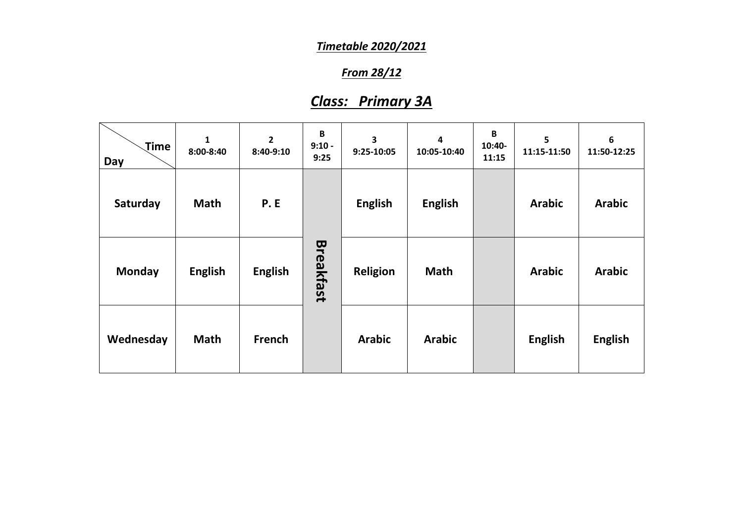### *From 28/12*

## *Class: Primary 3A*

| Time<br>Day   | $\mathbf{1}$<br>8:00-8:40 | $\overline{2}$<br>8:40-9:10 | $\mathbf B$<br>$9:10 -$<br>9:25 | 3<br>9:25-10:05 | 4<br>10:05-10:40 | B<br>10:40-<br>11:15 | 5<br>11:15-11:50 | 6<br>11:50-12:25 |
|---------------|---------------------------|-----------------------------|---------------------------------|-----------------|------------------|----------------------|------------------|------------------|
| Saturday      | <b>Math</b>               | <b>P.E</b>                  |                                 | <b>English</b>  | <b>English</b>   |                      | <b>Arabic</b>    | <b>Arabic</b>    |
| <b>Monday</b> | <b>English</b>            | <b>English</b>              | <b>Breakfast</b>                | <b>Religion</b> | <b>Math</b>      |                      | <b>Arabic</b>    | <b>Arabic</b>    |
| Wednesday     | <b>Math</b>               | <b>French</b>               |                                 | <b>Arabic</b>   | <b>Arabic</b>    |                      | <b>English</b>   | <b>English</b>   |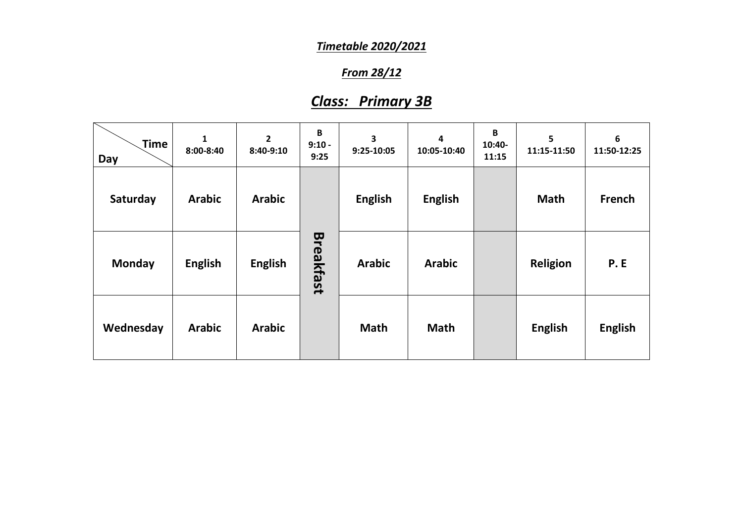### *From 28/12*

## *Class: Primary 3B*

| Time<br>Day | 1<br>8:00-8:40 | $\overline{2}$<br>8:40-9:10 | $\, {\bf B}$<br>$9:10 -$<br>9:25 | 3<br>9:25-10:05 | 4<br>10:05-10:40 | B<br>10:40-<br>11:15 | 5<br>11:15-11:50 | 6<br>11:50-12:25 |
|-------------|----------------|-----------------------------|----------------------------------|-----------------|------------------|----------------------|------------------|------------------|
| Saturday    | <b>Arabic</b>  | <b>Arabic</b>               |                                  | <b>English</b>  | <b>English</b>   |                      | <b>Math</b>      | French           |
| Monday      | <b>English</b> | <b>English</b>              | Breakfast                        | <b>Arabic</b>   | <b>Arabic</b>    |                      | <b>Religion</b>  | <b>P.E</b>       |
| Wednesday   | <b>Arabic</b>  | <b>Arabic</b>               |                                  | <b>Math</b>     | <b>Math</b>      |                      | <b>English</b>   | <b>English</b>   |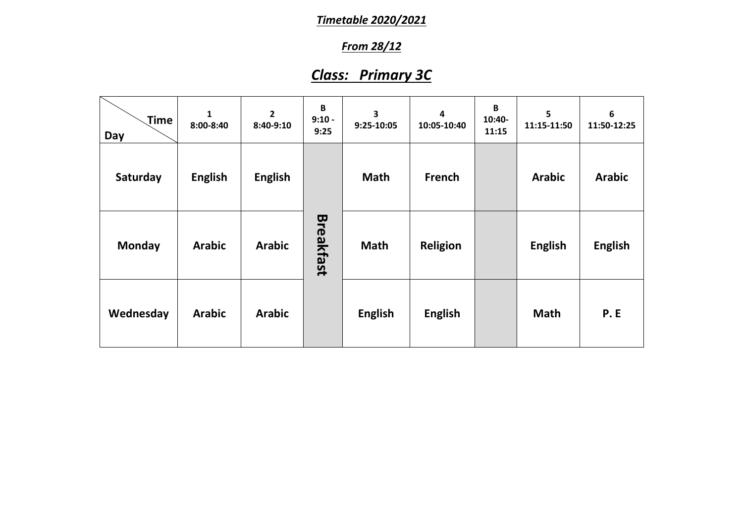## *From 28/12*

# *Class: Primary 3C*

| Time<br>Day   | 1<br>8:00-8:40 | $\overline{2}$<br>8:40-9:10 | B<br>$9:10 -$<br>9:25 | 3<br>9:25-10:05 | $\overline{\mathbf{4}}$<br>10:05-10:40 | B<br>$10:40-$<br>11:15 | 5<br>11:15-11:50 | 6<br>11:50-12:25 |
|---------------|----------------|-----------------------------|-----------------------|-----------------|----------------------------------------|------------------------|------------------|------------------|
| Saturday      | <b>English</b> | <b>English</b>              |                       | <b>Math</b>     | French                                 |                        | <b>Arabic</b>    | <b>Arabic</b>    |
| <b>Monday</b> | <b>Arabic</b>  | <b>Arabic</b>               | <b>Breakfast</b>      | <b>Math</b>     | <b>Religion</b>                        |                        | <b>English</b>   | <b>English</b>   |
| Wednesday     | <b>Arabic</b>  | <b>Arabic</b>               |                       | <b>English</b>  | <b>English</b>                         |                        | <b>Math</b>      | <b>P.E</b>       |